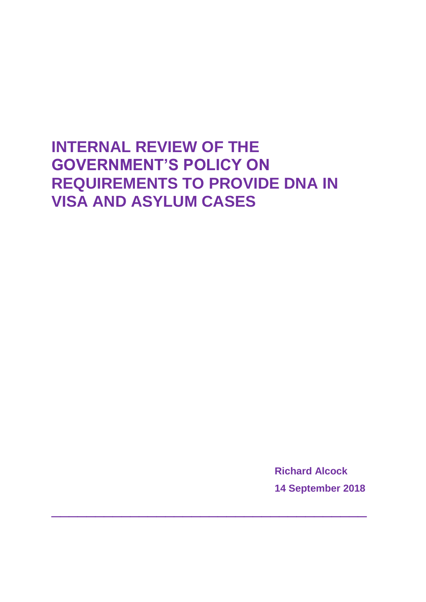# **INTERNAL REVIEW OF THE GOVERNMENT'S POLICY ON REQUIREMENTS TO PROVIDE DNA IN VISA AND ASYLUM CASES**

 $\frac{1}{2}$  , and the set of the set of the set of the set of the set of the set of the set of the set of the set of the set of the set of the set of the set of the set of the set of the set of the set of the set of the set

**Richard Alcock 14 September 2018**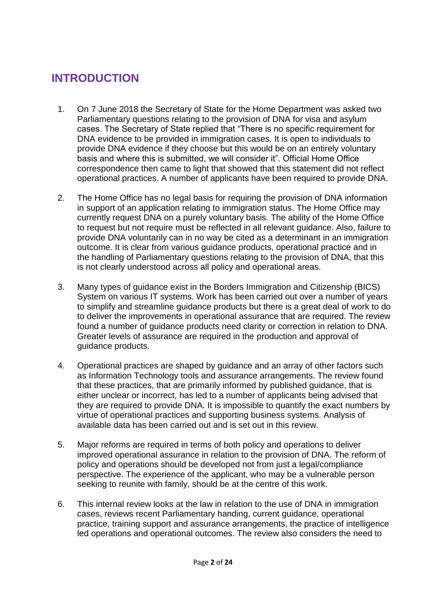#### **INTRODUCTION**

- 1. On 7 June 2018 the Secretary of State for the Home Department was asked two Parliamentary questions relating to the provision of DNA for visa and asylum cases. The Secretary of State replied that "There is no specific requirement for DNA evidence to be provided in immigration cases. It is open to individuals to provide DNA evidence if they choose but this would be on an entirely voluntary basis and where this is submitted, we will consider it". Official Home Office correspondence then came to light that showed that this statement did not reflect operational practices. A number of applicants have been required to provide DNA.
- 2. The Home Office has no legal basis for requiring the provision of DNA information in support of an application relating to immigration status. The Home Office may currently request DNA on a purely voluntary basis. The ability of the Home Office to request but not require must be reflected in all relevant guidance. Also, failure to provide DNA voluntarily can in no way be cited as a determinant in an immigration outcome. It is clear from various guidance products, operational practice and in the handling of Parliamentary questions relating to the provision of DNA, that this is not clearly understood across all policy and operational areas.
- 3. Many types of guidance exist in the Borders Immigration and Citizenship (BICS) System on various IT systems. Work has been carried out over a number of years to simplify and streamline guidance products but there is a great deal of work to do to deliver the improvements in operational assurance that are required. The review found a number of guidance products need clarity or correction in relation to DNA. Greater levels of assurance are required in the production and approval of guidance products.
- 4. Operational practices are shaped by guidance and an array of other factors such as Information Technology tools and assurance arrangements. The review found that these practices, that are primarily informed by published guidance, that is either unclear or incorrect, has led to a number of applicants being advised that they are required to provide DNA. It is impossible to quantify the exact numbers by virtue of operational practices and supporting business systems. Analysis of available data has been carried out and is set out in this review.
- 5. Major reforms are required in terms of both policy and operations to deliver improved operational assurance in relation to the provision of DNA. The reform of policy and operations should be developed not from just a legal/compliance perspective. The experience of the applicant, who may be a vulnerable person seeking to reunite with family, should be at the centre of this work.
- 6. This internal review looks at the law in relation to the use of DNA in immigration cases, reviews recent Parliamentary handing, current guidance, operational practice, training support and assurance arrangements, the practice of intelligence led operations and operational outcomes. The review also considers the need to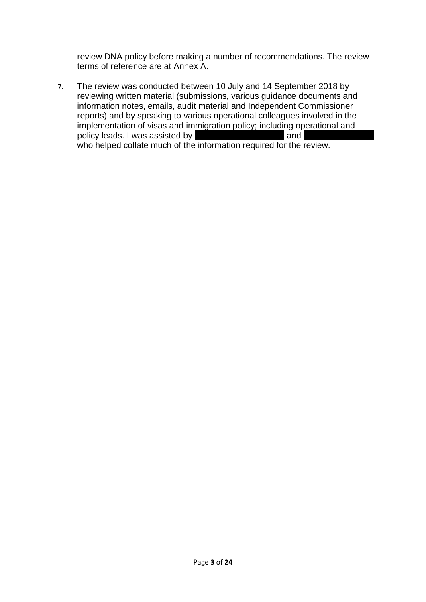review DNA policy before making a number of recommendations. The review terms of reference are at Annex A.

7. The review was conducted between 10 July and 14 September 2018 by reviewing written material (submissions, various guidance documents and information notes, emails, audit material and Independent Commissioner reports) and by speaking to various operational colleagues involved in the implementation of visas and immigration policy; including operational and policy leads. I was assisted by Yvette Jacobs-Garrison and Rachael Anderson and Rachael Anderson and Rachael Anderson and Rachael Anderson and Rachael Anderson and Rachael Anderson and Rachael Anderson and Rachael Anderson who helped collate much of the information required for the review.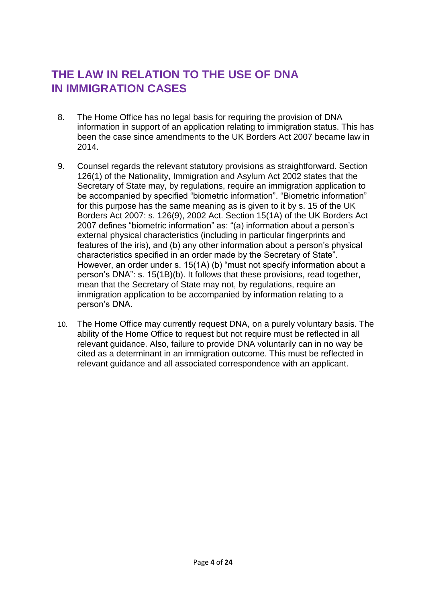### **THE LAW IN RELATION TO THE USE OF DNA IN IMMIGRATION CASES**

- 8. The Home Office has no legal basis for requiring the provision of DNA information in support of an application relating to immigration status. This has been the case since amendments to the UK Borders Act 2007 became law in 2014.
- 9. Counsel regards the relevant statutory provisions as straightforward. Section 126(1) of the Nationality, Immigration and Asylum Act 2002 states that the Secretary of State may, by regulations, require an immigration application to be accompanied by specified "biometric information". "Biometric information" for this purpose has the same meaning as is given to it by s. 15 of the UK Borders Act 2007: s. 126(9), 2002 Act. Section 15(1A) of the UK Borders Act 2007 defines "biometric information" as: "(a) information about a person's external physical characteristics (including in particular fingerprints and features of the iris), and (b) any other information about a person's physical characteristics specified in an order made by the Secretary of State". However, an order under s. 15(1A) (b) "must not specify information about a person's DNA": s. 15(1B)(b). It follows that these provisions, read together, mean that the Secretary of State may not, by regulations, require an immigration application to be accompanied by information relating to a person's DNA.
- 10. The Home Office may currently request DNA, on a purely voluntary basis. The ability of the Home Office to request but not require must be reflected in all relevant guidance. Also, failure to provide DNA voluntarily can in no way be cited as a determinant in an immigration outcome. This must be reflected in relevant guidance and all associated correspondence with an applicant.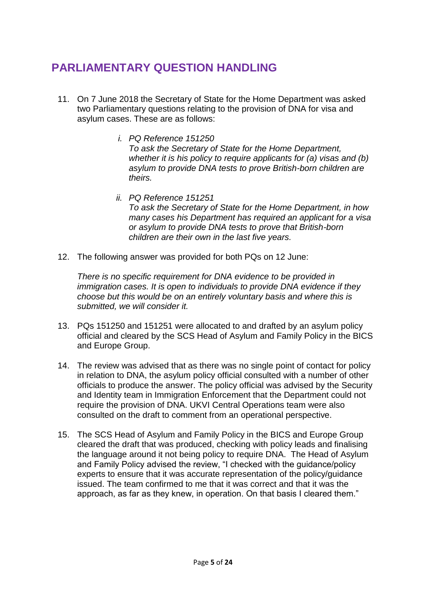### **PARLIAMENTARY QUESTION HANDLING**

- 11. On 7 June 2018 the Secretary of State for the Home Department was asked two Parliamentary questions relating to the provision of DNA for visa and asylum cases. These are as follows:
	- *i. PQ Reference 151250 To ask the Secretary of State for the Home Department, whether it is his policy to require applicants for (a) visas and (b) asylum to provide DNA tests to prove British-born children are theirs.*
	- *ii. PQ Reference 151251 To ask the Secretary of State for the Home Department, in how many cases his Department has required an applicant for a visa or asylum to provide DNA tests to prove that British-born children are their own in the last five years.*
- 12. The following answer was provided for both PQs on 12 June:

*There is no specific requirement for DNA evidence to be provided in immigration cases. It is open to individuals to provide DNA evidence if they choose but this would be on an entirely voluntary basis and where this is submitted, we will consider it.*

- 13. PQs 151250 and 151251 were allocated to and drafted by an asylum policy official and cleared by the SCS Head of Asylum and Family Policy in the BICS and Europe Group.
- 14. The review was advised that as there was no single point of contact for policy in relation to DNA, the asylum policy official consulted with a number of other officials to produce the answer. The policy official was advised by the Security and Identity team in Immigration Enforcement that the Department could not require the provision of DNA. UKVI Central Operations team were also consulted on the draft to comment from an operational perspective.
- 15. The SCS Head of Asylum and Family Policy in the BICS and Europe Group cleared the draft that was produced, checking with policy leads and finalising the language around it not being policy to require DNA. The Head of Asylum and Family Policy advised the review, "I checked with the guidance/policy experts to ensure that it was accurate representation of the policy/guidance issued. The team confirmed to me that it was correct and that it was the approach, as far as they knew, in operation. On that basis I cleared them."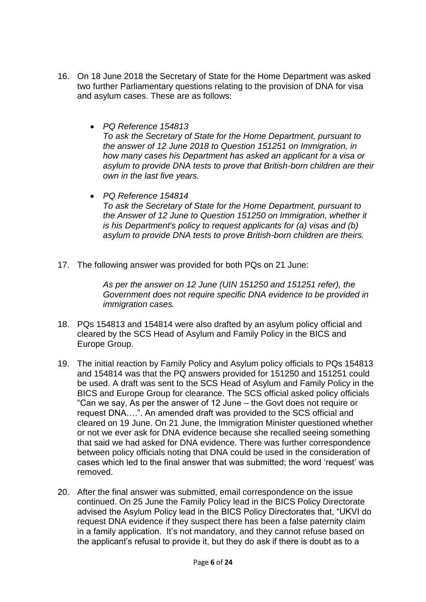- 16. On 18 June 2018 the Secretary of State for the Home Department was asked two further Parliamentary questions relating to the provision of DNA for visa and asylum cases. These are as follows:
	- *PQ Reference 154813 To ask the Secretary of State for the Home Department, pursuant to the answer of 12 June 2018 to Question 151251 on Immigration, in how many cases his Department has asked an applicant for a visa or asylum to provide DNA tests to prove that British-born children are their own in the last five years.*
	- *PQ Reference 154814 To ask the Secretary of State for the Home Department, pursuant to the Answer of 12 June to Question 151250 on Immigration, whether it is his Department's policy to request applicants for (a) visas and (b) asylum to provide DNA tests to prove British-born children are theirs.*
- 17. The following answer was provided for both PQs on 21 June:

*As per the answer on 12 June (UIN 151250 and 151251 refer), the Government does not require specific DNA evidence to be provided in immigration cases.*

- 18. PQs 154813 and 154814 were also drafted by an asylum policy official and cleared by the SCS Head of Asylum and Family Policy in the BICS and Europe Group.
- 19. The initial reaction by Family Policy and Asylum policy officials to PQs 154813 and 154814 was that the PQ answers provided for 151250 and 151251 could be used. A draft was sent to the SCS Head of Asylum and Family Policy in the BICS and Europe Group for clearance. The SCS official asked policy officials "Can we say, As per the answer of 12 June – the Govt does not require or request DNA….". An amended draft was provided to the SCS official and cleared on 19 June. On 21 June, the Immigration Minister questioned whether or not we ever ask for DNA evidence because she recalled seeing something that said we had asked for DNA evidence. There was further correspondence between policy officials noting that DNA could be used in the consideration of cases which led to the final answer that was submitted; the word 'request' was removed.
- 20. After the final answer was submitted, email correspondence on the issue continued. On 25 June the Family Policy lead in the BICS Policy Directorate advised the Asylum Policy lead in the BICS Policy Directorates that, "UKVI do request DNA evidence if they suspect there has been a false paternity claim in a family application. It's not mandatory, and they cannot refuse based on the applicant's refusal to provide it, but they do ask if there is doubt as to a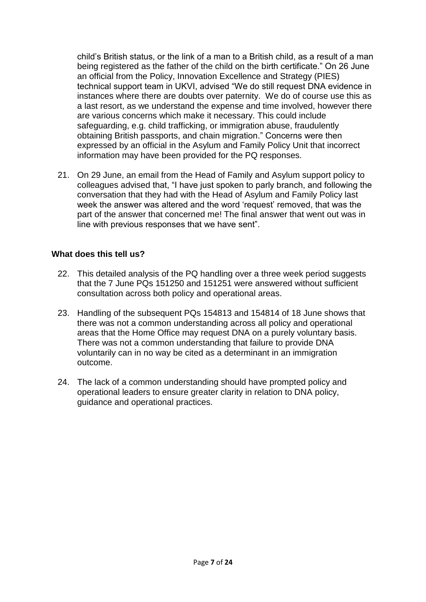child's British status, or the link of a man to a British child, as a result of a man being registered as the father of the child on the birth certificate." On 26 June an official from the Policy, Innovation Excellence and Strategy (PIES) technical support team in UKVI, advised "We do still request DNA evidence in instances where there are doubts over paternity. We do of course use this as a last resort, as we understand the expense and time involved, however there are various concerns which make it necessary. This could include safeguarding, e.g. child trafficking, or immigration abuse, fraudulently obtaining British passports, and chain migration." Concerns were then expressed by an official in the Asylum and Family Policy Unit that incorrect information may have been provided for the PQ responses.

21. On 29 June, an email from the Head of Family and Asylum support policy to colleagues advised that, "I have just spoken to parly branch, and following the conversation that they had with the Head of Asylum and Family Policy last week the answer was altered and the word 'request' removed, that was the part of the answer that concerned me! The final answer that went out was in line with previous responses that we have sent".

#### **What does this tell us?**

- 22. This detailed analysis of the PQ handling over a three week period suggests that the 7 June PQs 151250 and 151251 were answered without sufficient consultation across both policy and operational areas.
- 23. Handling of the subsequent PQs 154813 and 154814 of 18 June shows that there was not a common understanding across all policy and operational areas that the Home Office may request DNA on a purely voluntary basis. There was not a common understanding that failure to provide DNA voluntarily can in no way be cited as a determinant in an immigration outcome.
- 24. The lack of a common understanding should have prompted policy and operational leaders to ensure greater clarity in relation to DNA policy, guidance and operational practices.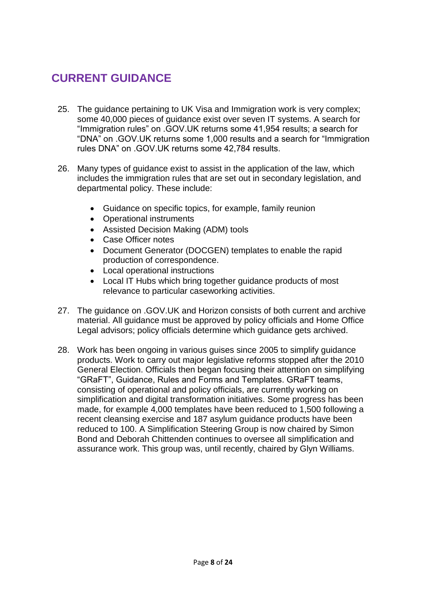# **CURRENT GUIDANCE**

- 25. The guidance pertaining to UK Visa and Immigration work is very complex; some 40,000 pieces of guidance exist over seven IT systems. A search for "Immigration rules" on .GOV.UK returns some 41,954 results; a search for "DNA" on .GOV.UK returns some 1,000 results and a search for "Immigration rules DNA" on .GOV.UK returns some 42,784 results.
- 26. Many types of guidance exist to assist in the application of the law, which includes the immigration rules that are set out in secondary legislation, and departmental policy. These include:
	- Guidance on specific topics, for example, family reunion
	- Operational instruments
	- Assisted Decision Making (ADM) tools
	- Case Officer notes
	- Document Generator (DOCGEN) templates to enable the rapid production of correspondence.
	- Local operational instructions
	- Local IT Hubs which bring together guidance products of most relevance to particular caseworking activities.
- 27. The guidance on .GOV.UK and Horizon consists of both current and archive material. All guidance must be approved by policy officials and Home Office Legal advisors; policy officials determine which guidance gets archived.
- 28. Work has been ongoing in various guises since 2005 to simplify guidance products. Work to carry out major legislative reforms stopped after the 2010 General Election. Officials then began focusing their attention on simplifying "GRaFT", Guidance, Rules and Forms and Templates. GRaFT teams, consisting of operational and policy officials, are currently working on simplification and digital transformation initiatives. Some progress has been made, for example 4,000 templates have been reduced to 1,500 following a recent cleansing exercise and 187 asylum guidance products have been reduced to 100. A Simplification Steering Group is now chaired by Simon Bond and Deborah Chittenden continues to oversee all simplification and assurance work. This group was, until recently, chaired by Glyn Williams.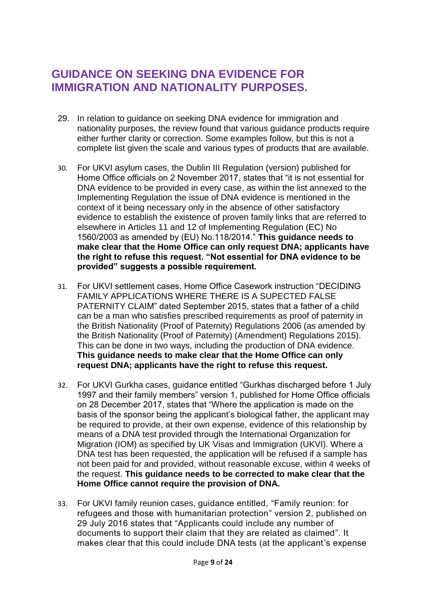#### **GUIDANCE ON SEEKING DNA EVIDENCE FOR IMMIGRATION AND NATIONALITY PURPOSES.**

- 29. In relation to guidance on seeking DNA evidence for immigration and nationality purposes, the review found that various guidance products require either further clarity or correction. Some examples follow, but this is not a complete list given the scale and various types of products that are available.
- 30. For UKVI asylum cases, the Dublin III Regulation (version) published for Home Office officials on 2 November 2017, states that "it is not essential for DNA evidence to be provided in every case, as within the list annexed to the Implementing Regulation the issue of DNA evidence is mentioned in the context of it being necessary only in the absence of other satisfactory evidence to establish the existence of proven family links that are referred to elsewhere in Articles 11 and 12 of Implementing Regulation (EC) No 1560/2003 as amended by (EU) No.118/2014." **This guidance needs to make clear that the Home Office can only request DNA; applicants have the right to refuse this request. "Not essential for DNA evidence to be provided" suggests a possible requirement.**
- 31. For UKVI settlement cases, Home Office Casework instruction "DECIDING FAMILY APPLICATIONS WHERE THERE IS A SUPECTED FALSE PATERNITY CLAIM" dated September 2015, states that a father of a child can be a man who satisfies prescribed requirements as proof of paternity in the British Nationality (Proof of Paternity) Regulations 2006 (as amended by the British Nationality (Proof of Paternity) (Amendment) Regulations 2015). This can be done in two ways, including the production of DNA evidence. **This guidance needs to make clear that the Home Office can only request DNA; applicants have the right to refuse this request.**
- 32. For UKVI Gurkha cases, guidance entitled "Gurkhas discharged before 1 July 1997 and their family members" version 1, published for Home Office officials on 28 December 2017, states that "Where the application is made on the basis of the sponsor being the applicant's biological father, the applicant may be required to provide, at their own expense, evidence of this relationship by means of a DNA test provided through the International Organization for Migration (IOM) as specified by UK Visas and Immigration (UKVI). Where a DNA test has been requested, the application will be refused if a sample has not been paid for and provided, without reasonable excuse, within 4 weeks of the request. **This guidance needs to be corrected to make clear that the Home Office cannot require the provision of DNA.**
- 33. For UKVI family reunion cases, guidance entitled, "Family reunion: for refugees and those with humanitarian protection" version 2, published on 29 July 2016 states that "Applicants could include any number of documents to support their claim that they are related as claimed". It makes clear that this could include DNA tests (at the applicant's expense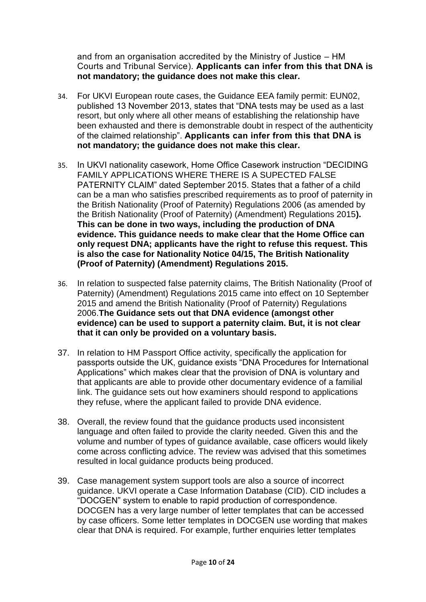and from an organisation [accredited by the Ministry of Justice –](https://www.gov.uk/paternity-testing-approved-laboratories) HM [Courts and Tribunal Service\)](https://www.gov.uk/paternity-testing-approved-laboratories). **Applicants can infer from this that DNA is not mandatory; the guidance does not make this clear.**

- 34. For UKVI European route cases, the Guidance EEA family permit: EUN02, published 13 November 2013, states that "DNA tests may be used as a last resort, but only where all other means of establishing the relationship have been exhausted and there is demonstrable doubt in respect of the authenticity of the claimed relationship". **Applicants can infer from this that DNA is not mandatory; the guidance does not make this clear.**
- 35. In UKVI nationality casework, Home Office Casework instruction "DECIDING FAMILY APPLICATIONS WHERE THERE IS A SUPECTED FALSE PATERNITY CLAIM" dated September 2015. States that a father of a child can be a man who satisfies prescribed requirements as to proof of paternity in the British Nationality (Proof of Paternity) Regulations 2006 (as amended by the British Nationality (Proof of Paternity) (Amendment) Regulations 2015**). This can be done in two ways, including the production of DNA evidence. This guidance needs to make clear that the Home Office can only request DNA; applicants have the right to refuse this request. This is also the case for Nationality Notice 04/15, The British Nationality (Proof of Paternity) (Amendment) Regulations 2015.**
- 36. In relation to suspected false paternity claims, The British Nationality (Proof of Paternity) (Amendment) Regulations 2015 came into effect on 10 September 2015 and amend the British Nationality (Proof of Paternity) Regulations 2006.**The Guidance sets out that DNA evidence (amongst other evidence) can be used to support a paternity claim. But, it is not clear that it can only be provided on a voluntary basis.**
- 37. In relation to HM Passport Office activity, specifically the application for passports outside the UK, guidance exists "DNA Procedures for International Applications" which makes clear that the provision of DNA is voluntary and that applicants are able to provide other documentary evidence of a familial link. The guidance sets out how examiners should respond to applications they refuse, where the applicant failed to provide DNA evidence.
- 38. Overall, the review found that the guidance products used inconsistent language and often failed to provide the clarity needed. Given this and the volume and number of types of guidance available, case officers would likely come across conflicting advice. The review was advised that this sometimes resulted in local guidance products being produced.
- 39. Case management system support tools are also a source of incorrect guidance. UKVI operate a Case Information Database (CID). CID includes a "DOCGEN" system to enable to rapid production of correspondence. DOCGEN has a very large number of letter templates that can be accessed by case officers. Some letter templates in DOCGEN use wording that makes clear that DNA is required. For example, further enquiries letter templates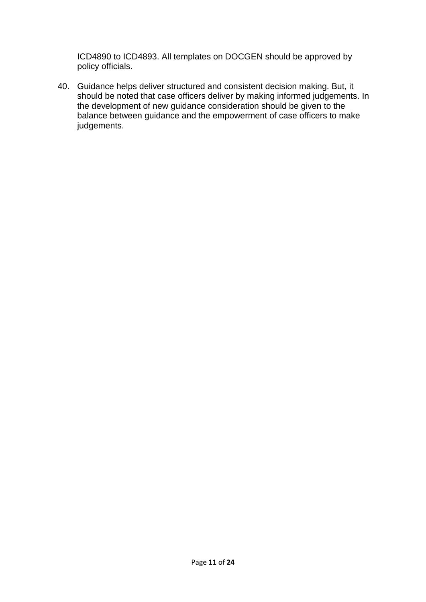ICD4890 to ICD4893. All templates on DOCGEN should be approved by policy officials.

40. Guidance helps deliver structured and consistent decision making. But, it should be noted that case officers deliver by making informed judgements. In the development of new guidance consideration should be given to the balance between guidance and the empowerment of case officers to make judgements.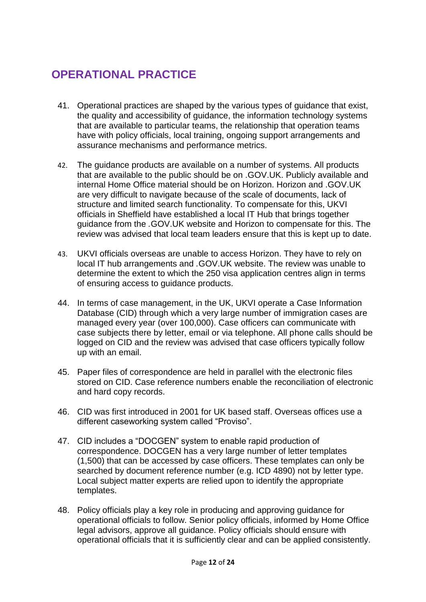### **OPERATIONAL PRACTICE**

- 41. Operational practices are shaped by the various types of guidance that exist, the quality and accessibility of guidance, the information technology systems that are available to particular teams, the relationship that operation teams have with policy officials, local training, ongoing support arrangements and assurance mechanisms and performance metrics.
- 42. The guidance products are available on a number of systems. All products that are available to the public should be on .GOV.UK. Publicly available and internal Home Office material should be on Horizon. Horizon and .GOV.UK are very difficult to navigate because of the scale of documents, lack of structure and limited search functionality. To compensate for this, UKVI officials in Sheffield have established a local IT Hub that brings together guidance from the *.*GOV.UK website and Horizon to compensate for this. The review was advised that local team leaders ensure that this is kept up to date.
- 43. UKVI officials overseas are unable to access Horizon. They have to rely on local IT hub arrangements and *.*GOV.UK website. The review was unable to determine the extent to which the 250 visa application centres align in terms of ensuring access to guidance products.
- 44. In terms of case management, in the UK, UKVI operate a Case Information Database (CID) through which a very large number of immigration cases are managed every year (over 100,000). Case officers can communicate with case subjects there by letter, email or via telephone. All phone calls should be logged on CID and the review was advised that case officers typically follow up with an email.
- 45. Paper files of correspondence are held in parallel with the electronic files stored on CID. Case reference numbers enable the reconciliation of electronic and hard copy records.
- 46. CID was first introduced in 2001 for UK based staff. Overseas offices use a different caseworking system called "Proviso".
- 47. CID includes a "DOCGEN" system to enable rapid production of correspondence. DOCGEN has a very large number of letter templates (1,500) that can be accessed by case officers. These templates can only be searched by document reference number (e.g. ICD 4890) not by letter type. Local subject matter experts are relied upon to identify the appropriate templates.
- 48. Policy officials play a key role in producing and approving guidance for operational officials to follow. Senior policy officials, informed by Home Office legal advisors, approve all guidance. Policy officials should ensure with operational officials that it is sufficiently clear and can be applied consistently.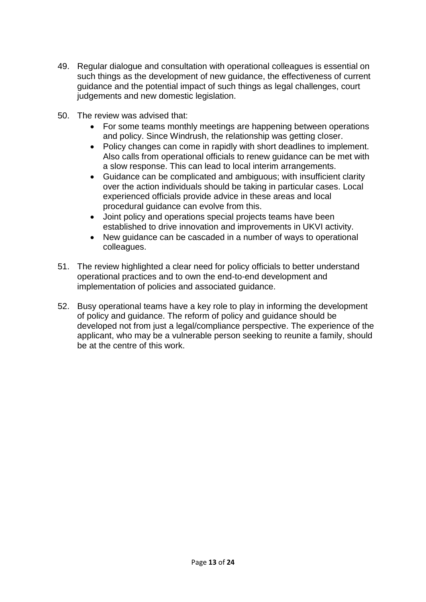- 49. Regular dialogue and consultation with operational colleagues is essential on such things as the development of new guidance, the effectiveness of current guidance and the potential impact of such things as legal challenges, court judgements and new domestic legislation.
- 50. The review was advised that:
	- For some teams monthly meetings are happening between operations and policy. Since Windrush, the relationship was getting closer.
	- Policy changes can come in rapidly with short deadlines to implement. Also calls from operational officials to renew guidance can be met with a slow response. This can lead to local interim arrangements.
	- Guidance can be complicated and ambiguous; with insufficient clarity over the action individuals should be taking in particular cases. Local experienced officials provide advice in these areas and local procedural guidance can evolve from this.
	- Joint policy and operations special projects teams have been established to drive innovation and improvements in UKVI activity.
	- New guidance can be cascaded in a number of ways to operational colleagues.
- 51. The review highlighted a clear need for policy officials to better understand operational practices and to own the end-to-end development and implementation of policies and associated guidance.
- 52. Busy operational teams have a key role to play in informing the development of policy and guidance. The reform of policy and guidance should be developed not from just a legal/compliance perspective. The experience of the applicant, who may be a vulnerable person seeking to reunite a family, should be at the centre of this work.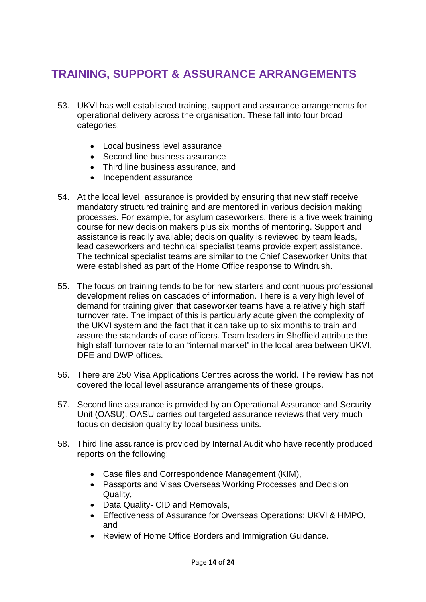# **TRAINING, SUPPORT & ASSURANCE ARRANGEMENTS**

- 53. UKVI has well established training, support and assurance arrangements for operational delivery across the organisation. These fall into four broad categories:
	- Local business level assurance
	- Second line business assurance
	- Third line business assurance, and
	- Independent assurance
- 54. At the local level, assurance is provided by ensuring that new staff receive mandatory structured training and are mentored in various decision making processes. For example, for asylum caseworkers, there is a five week training course for new decision makers plus six months of mentoring. Support and assistance is readily available; decision quality is reviewed by team leads, lead caseworkers and technical specialist teams provide expert assistance. The technical specialist teams are similar to the Chief Caseworker Units that were established as part of the Home Office response to Windrush.
- 55. The focus on training tends to be for new starters and continuous professional development relies on cascades of information. There is a very high level of demand for training given that caseworker teams have a relatively high staff turnover rate. The impact of this is particularly acute given the complexity of the UKVI system and the fact that it can take up to six months to train and assure the standards of case officers. Team leaders in Sheffield attribute the high staff turnover rate to an "internal market" in the local area between UKVI, DFE and DWP offices.
- 56. There are 250 Visa Applications Centres across the world. The review has not covered the local level assurance arrangements of these groups.
- 57. Second line assurance is provided by an Operational Assurance and Security Unit (OASU). OASU carries out targeted assurance reviews that very much focus on decision quality by local business units.
- 58. Third line assurance is provided by Internal Audit who have recently produced reports on the following:
	- Case files and Correspondence Management (KIM),
	- Passports and Visas Overseas Working Processes and Decision Quality,
	- Data Quality- CID and Removals,
	- Effectiveness of Assurance for Overseas Operations: UKVI & HMPO, and
	- Review of Home Office Borders and Immigration Guidance.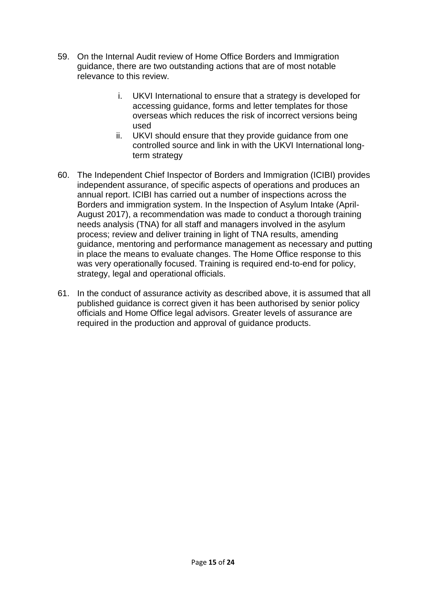- 59. On the Internal Audit review of Home Office Borders and Immigration guidance, there are two outstanding actions that are of most notable relevance to this review.
	- i. UKVI International to ensure that a strategy is developed for accessing guidance, forms and letter templates for those overseas which reduces the risk of incorrect versions being used
	- ii. UKVI should ensure that they provide guidance from one controlled source and link in with the UKVI International longterm strategy
- 60. The Independent Chief Inspector of Borders and Immigration (ICIBI) provides independent assurance, of specific aspects of operations and produces an annual report. ICIBI has carried out a number of inspections across the Borders and immigration system. In the Inspection of Asylum Intake (April-August 2017), a recommendation was made to conduct a thorough training needs analysis (TNA) for all staff and managers involved in the asylum process; review and deliver training in light of TNA results, amending guidance, mentoring and performance management as necessary and putting in place the means to evaluate changes. The Home Office response to this was very operationally focused. Training is required end-to-end for policy, strategy, legal and operational officials.
- 61. In the conduct of assurance activity as described above, it is assumed that all published guidance is correct given it has been authorised by senior policy officials and Home Office legal advisors. Greater levels of assurance are required in the production and approval of guidance products.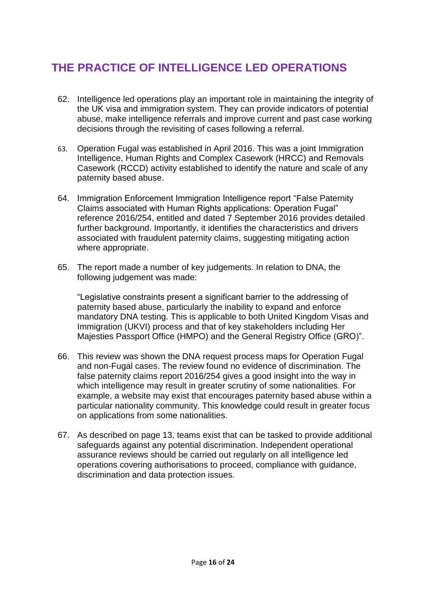# **THE PRACTICE OF INTELLIGENCE LED OPERATIONS**

- 62. Intelligence led operations play an important role in maintaining the integrity of the UK visa and immigration system. They can provide indicators of potential abuse, make intelligence referrals and improve current and past case working decisions through the revisiting of cases following a referral.
- 63. Operation Fugal was established in April 2016. This was a joint Immigration Intelligence, Human Rights and Complex Casework (HRCC) and Removals Casework (RCCD) activity established to identify the nature and scale of any paternity based abuse.
- 64. Immigration Enforcement Immigration Intelligence report "False Paternity Claims associated with Human Rights applications: Operation Fugal" reference 2016/254, entitled and dated 7 September 2016 provides detailed further background. Importantly, it identifies the characteristics and drivers associated with fraudulent paternity claims, suggesting mitigating action where appropriate.
- 65. The report made a number of key judgements. In relation to DNA, the following judgement was made:

"Legislative constraints present a significant barrier to the addressing of paternity based abuse, particularly the inability to expand and enforce mandatory DNA testing. This is applicable to both United Kingdom Visas and Immigration (UKVI) process and that of key stakeholders including Her Majesties Passport Office (HMPO) and the General Registry Office (GRO)".

- 66. This review was shown the DNA request process maps for Operation Fugal and non-Fugal cases. The review found no evidence of discrimination. The false paternity claims report 2016/254 gives a good insight into the way in which intelligence may result in greater scrutiny of some nationalities. For example, a website may exist that encourages paternity based abuse within a particular nationality community. This knowledge could result in greater focus on applications from some nationalities.
- 67. As described on page 13, teams exist that can be tasked to provide additional safeguards against any potential discrimination. Independent operational assurance reviews should be carried out regularly on all intelligence led operations covering authorisations to proceed, compliance with guidance, discrimination and data protection issues.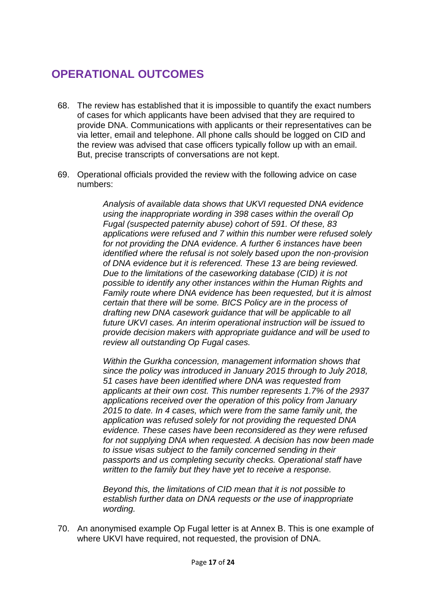## **OPERATIONAL OUTCOMES**

- 68. The review has established that it is impossible to quantify the exact numbers of cases for which applicants have been advised that they are required to provide DNA. Communications with applicants or their representatives can be via letter, email and telephone. All phone calls should be logged on CID and the review was advised that case officers typically follow up with an email. But, precise transcripts of conversations are not kept.
- 69. Operational officials provided the review with the following advice on case numbers:

*Analysis of available data shows that UKVI requested DNA evidence using the inappropriate wording in 398 cases within the overall Op Fugal (suspected paternity abuse) cohort of 591. Of these, 83 applications were refused and 7 within this number were refused solely for not providing the DNA evidence. A further 6 instances have been identified where the refusal is not solely based upon the non-provision of DNA evidence but it is referenced. These 13 are being reviewed. Due to the limitations of the caseworking database (CID) it is not possible to identify any other instances within the Human Rights and Family route where DNA evidence has been requested, but it is almost certain that there will be some. BICS Policy are in the process of drafting new DNA casework guidance that will be applicable to all future UKVI cases. An interim operational instruction will be issued to provide decision makers with appropriate guidance and will be used to review all outstanding Op Fugal cases.*

*Within the Gurkha concession, management information shows that since the policy was introduced in January 2015 through to July 2018, 51 cases have been identified where DNA was requested from applicants at their own cost. This number represents 1.7% of the 2937 applications received over the operation of this policy from January 2015 to date. In 4 cases, which were from the same family unit, the application was refused solely for not providing the requested DNA evidence. These cases have been reconsidered as they were refused for not supplying DNA when requested. A decision has now been made to issue visas subject to the family concerned sending in their passports and us completing security checks. Operational staff have written to the family but they have yet to receive a response.*

*Beyond this, the limitations of CID mean that it is not possible to establish further data on DNA requests or the use of inappropriate wording.* 

70. An anonymised example Op Fugal letter is at Annex B. This is one example of where UKVI have required, not requested, the provision of DNA.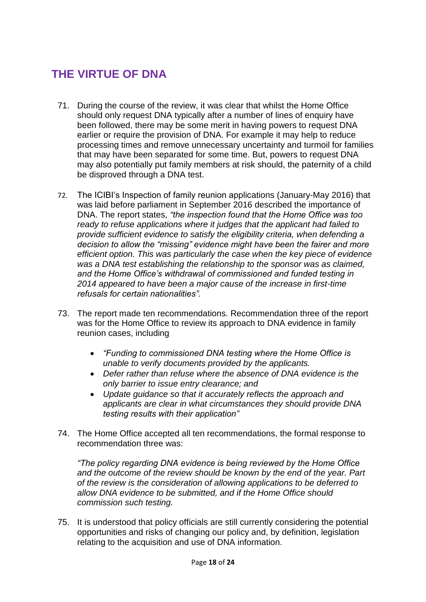# **THE VIRTUE OF DNA**

- 71. During the course of the review, it was clear that whilst the Home Office should only request DNA typically after a number of lines of enquiry have been followed, there may be some merit in having powers to request DNA earlier or require the provision of DNA. For example it may help to reduce processing times and remove unnecessary uncertainty and turmoil for families that may have been separated for some time. But, powers to request DNA may also potentially put family members at risk should, the paternity of a child be disproved through a DNA test.
- 72. The ICIBI's Inspection of family reunion applications (January-May 2016) that was laid before parliament in September 2016 described the importance of DNA. The report states, *"the inspection found that the Home Office was too ready to refuse applications where it judges that the applicant had failed to provide sufficient evidence to satisfy the eligibility criteria, when defending a decision to allow the "missing" evidence might have been the fairer and more efficient option. This was particularly the case when the key piece of evidence was a DNA test establishing the relationship to the sponsor was as claimed, and the Home Office's withdrawal of commissioned and funded testing in 2014 appeared to have been a major cause of the increase in first-time refusals for certain nationalities".*
- 73. The report made ten recommendations. Recommendation three of the report was for the Home Office to review its approach to DNA evidence in family reunion cases, including
	- *"Funding to commissioned DNA testing where the Home Office is unable to verify documents provided by the applicants.*
	- *Defer rather than refuse where the absence of DNA evidence is the only barrier to issue entry clearance; and*
	- *Update guidance so that it accurately reflects the approach and applicants are clear in what circumstances they should provide DNA testing results with their application"*
- 74. The Home Office accepted all ten recommendations, the formal response to recommendation three was:

*"The policy regarding DNA evidence is being reviewed by the Home Office and the outcome of the review should be known by the end of the year. Part of the review is the consideration of allowing applications to be deferred to allow DNA evidence to be submitted, and if the Home Office should commission such testing.*

75. It is understood that policy officials are still currently considering the potential opportunities and risks of changing our policy and, by definition, legislation relating to the acquisition and use of DNA information.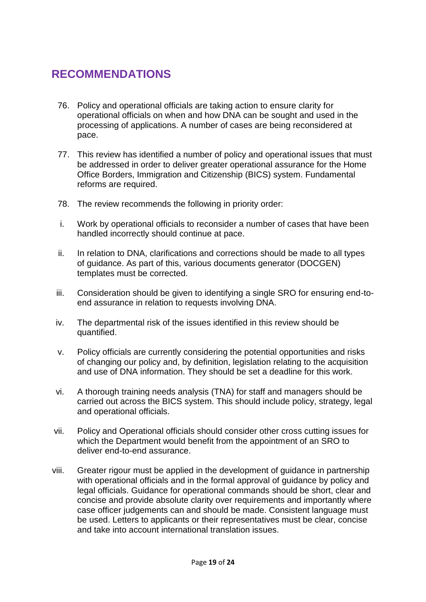#### **RECOMMENDATIONS**

- 76. Policy and operational officials are taking action to ensure clarity for operational officials on when and how DNA can be sought and used in the processing of applications. A number of cases are being reconsidered at pace.
- 77. This review has identified a number of policy and operational issues that must be addressed in order to deliver greater operational assurance for the Home Office Borders, Immigration and Citizenship (BICS) system. Fundamental reforms are required.
- 78. The review recommends the following in priority order:
- i. Work by operational officials to reconsider a number of cases that have been handled incorrectly should continue at pace.
- ii. In relation to DNA, clarifications and corrections should be made to all types of guidance. As part of this, various documents generator (DOCGEN) templates must be corrected.
- iii. Consideration should be given to identifying a single SRO for ensuring end-toend assurance in relation to requests involving DNA.
- iv. The departmental risk of the issues identified in this review should be quantified.
- v. Policy officials are currently considering the potential opportunities and risks of changing our policy and, by definition, legislation relating to the acquisition and use of DNA information. They should be set a deadline for this work.
- vi. A thorough training needs analysis (TNA) for staff and managers should be carried out across the BICS system. This should include policy, strategy, legal and operational officials.
- vii. Policy and Operational officials should consider other cross cutting issues for which the Department would benefit from the appointment of an SRO to deliver end-to-end assurance.
- viii. Greater rigour must be applied in the development of guidance in partnership with operational officials and in the formal approval of guidance by policy and legal officials. Guidance for operational commands should be short, clear and concise and provide absolute clarity over requirements and importantly where case officer judgements can and should be made. Consistent language must be used. Letters to applicants or their representatives must be clear, concise and take into account international translation issues.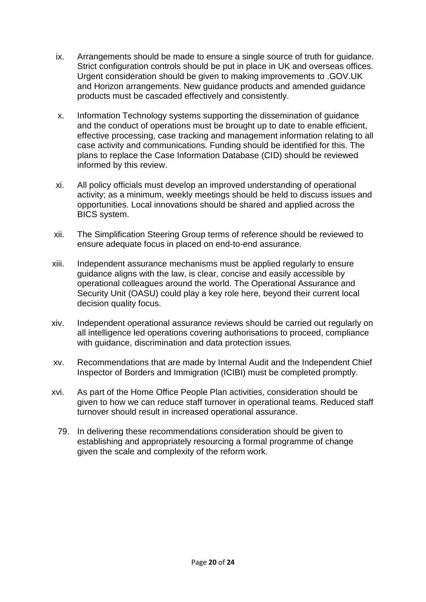- ix. Arrangements should be made to ensure a single source of truth for guidance. Strict configuration controls should be put in place in UK and overseas offices. Urgent consideration should be given to making improvements to .GOV.UK and Horizon arrangements. New guidance products and amended guidance products must be cascaded effectively and consistently.
- x. Information Technology systems supporting the dissemination of guidance and the conduct of operations must be brought up to date to enable efficient, effective processing, case tracking and management information relating to all case activity and communications. Funding should be identified for this. The plans to replace the Case Information Database (CID) should be reviewed informed by this review.
- xi. All policy officials must develop an improved understanding of operational activity; as a minimum, weekly meetings should be held to discuss issues and opportunities. Local innovations should be shared and applied across the BICS system.
- xii. The Simplification Steering Group terms of reference should be reviewed to ensure adequate focus in placed on end-to-end assurance.
- xiii. Independent assurance mechanisms must be applied regularly to ensure guidance aligns with the law, is clear, concise and easily accessible by operational colleagues around the world. The Operational Assurance and Security Unit (OASU) could play a key role here, beyond their current local decision quality focus.
- xiv. Independent operational assurance reviews should be carried out regularly on all intelligence led operations covering authorisations to proceed, compliance with guidance, discrimination and data protection issues.
- xv. Recommendations that are made by Internal Audit and the Independent Chief Inspector of Borders and Immigration (ICIBI) must be completed promptly.
- xvi. As part of the Home Office People Plan activities, consideration should be given to how we can reduce staff turnover in operational teams. Reduced staff turnover should result in increased operational assurance.
	- 79. In delivering these recommendations consideration should be given to establishing and appropriately resourcing a formal programme of change given the scale and complexity of the reform work.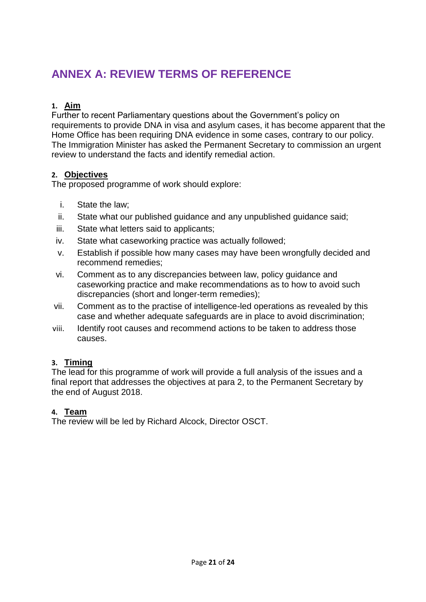# **ANNEX A: REVIEW TERMS OF REFERENCE**

#### **1. Aim**

Further to recent Parliamentary questions about the Government's policy on requirements to provide DNA in visa and asylum cases, it has become apparent that the Home Office has been requiring DNA evidence in some cases, contrary to our policy. The Immigration Minister has asked the Permanent Secretary to commission an urgent review to understand the facts and identify remedial action.

#### **2. Objectives**

The proposed programme of work should explore:

- i. State the law;
- ii. State what our published guidance and any unpublished guidance said;
- iii. State what letters said to applicants;
- iv. State what caseworking practice was actually followed;
- v. Establish if possible how many cases may have been wrongfully decided and recommend remedies;
- vi. Comment as to any discrepancies between law, policy guidance and caseworking practice and make recommendations as to how to avoid such discrepancies (short and longer-term remedies);
- vii. Comment as to the practise of intelligence-led operations as revealed by this case and whether adequate safeguards are in place to avoid discrimination;
- viii. Identify root causes and recommend actions to be taken to address those causes.

#### **3. Timing**

The lead for this programme of work will provide a full analysis of the issues and a final report that addresses the objectives at para 2, to the Permanent Secretary by the end of August 2018.

#### **4. Team**

The review will be led by Richard Alcock, Director OSCT.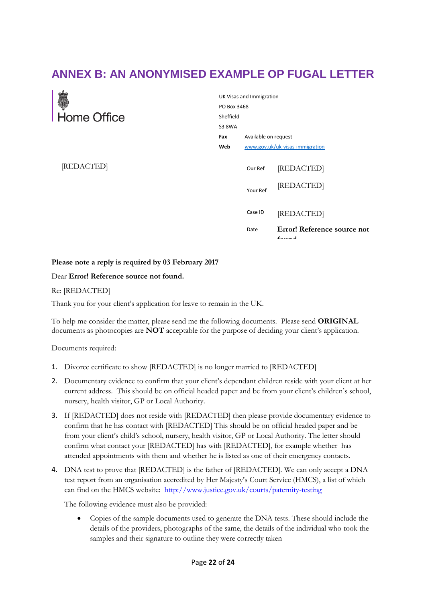# **ANNEX B: AN ANONYMISED EXAMPLE OP FUGAL LETTER**

|                   | UK Visas and Immigration<br>PO Box 3468<br>Sheffield |                     |                                             |
|-------------------|------------------------------------------------------|---------------------|---------------------------------------------|
| ्<br>सिome Office |                                                      |                     |                                             |
|                   |                                                      |                     |                                             |
|                   |                                                      |                     | Available on request                        |
|                   | Web                                                  |                     | www.gov.uk/uk-visas-immigration             |
| [REDACTED]        |                                                      | Our Ref<br>Your Ref | [REDACTED]<br>[REDACTED]                    |
|                   |                                                      | Case ID             | [REDACTED]                                  |
|                   |                                                      | Date                | Error! Reference source not<br>$f_{\alpha}$ |

#### **Please note a reply is required by 03 February 2017**

#### Dear **Error! Reference source not found.**

#### Re: [REDACTED]

Thank you for your client's application for leave to remain in the UK.

To help me consider the matter, please send me the following documents. Please send **ORIGINAL** documents as photocopies are **NOT** acceptable for the purpose of deciding your client's application.

Documents required:

- 1. Divorce certificate to show [REDACTED] is no longer married to [REDACTED]
- 2. Documentary evidence to confirm that your client's dependant children reside with your client at her current address. This should be on official headed paper and be from your client's children's school, nursery, health visitor, GP or Local Authority.
- 3. If [REDACTED] does not reside with [REDACTED] then please provide documentary evidence to confirm that he has contact with [REDACTED] This should be on official headed paper and be from your client's child's school, nursery, health visitor, GP or Local Authority. The letter should confirm what contact your [REDACTED] has with [REDACTED], for example whether has attended appointments with them and whether he is listed as one of their emergency contacts.
- 4. DNA test to prove that [REDACTED] is the father of [REDACTED]. We can only accept a DNA test report from an organisation accredited by Her Majesty's Court Service (HMCS), a list of which can find on the HMCS website: <http://www.justice.gov.uk/courts/paternity-testing>

The following evidence must also be provided:

• Copies of the sample documents used to generate the DNA tests. These should include the details of the providers, photographs of the same, the details of the individual who took the samples and their signature to outline they were correctly taken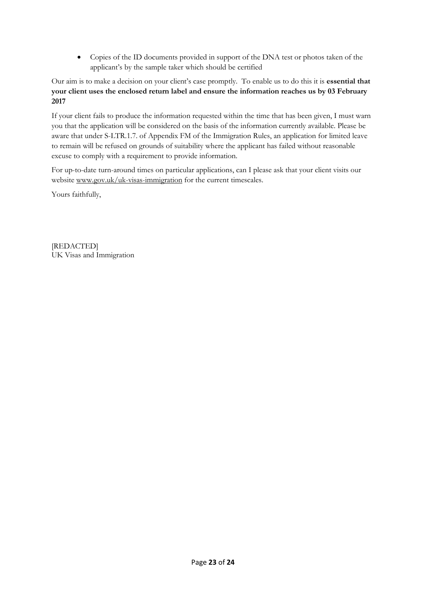• Copies of the ID documents provided in support of the DNA test or photos taken of the applicant's by the sample taker which should be certified

#### Our aim is to make a decision on your client's case promptly. To enable us to do this it is **essential that your client uses the enclosed return label and ensure the information reaches us by 03 February 2017**

If your client fails to produce the information requested within the time that has been given, I must warn you that the application will be considered on the basis of the information currently available. Please be aware that under S-LTR.1.7. of Appendix FM of the Immigration Rules, an application for limited leave to remain will be refused on grounds of suitability where the applicant has failed without reasonable excuse to comply with a requirement to provide information.

For up-to-date turn-around times on particular applications, can I please ask that your client visits our website www.gov.uk/uk-visas-immigration for the current timescales.

Yours faithfully,

[REDACTED] UK Visas and Immigration